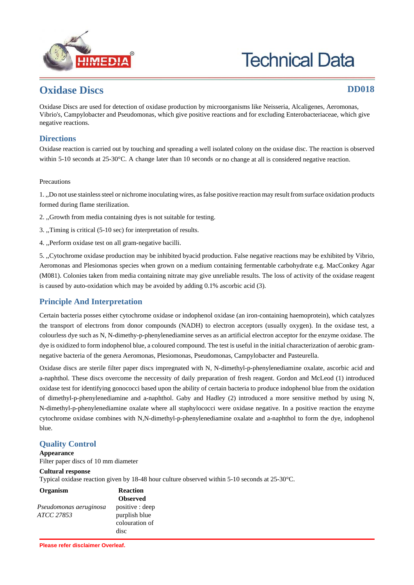

# **Technical Data**

### **Oxidase Discs DD018**

Oxidase Discs are used for detection of oxidase production by microorganisms like Neisseria, Alcaligenes, Aeromonas, Vibrio's, Campylobacter and Pseudomonas, which give positive reactions and for excluding Enterobacteriaceae, which give negative reactions.

#### **Directions**

Oxidase reaction is carried out by touching and spreading a well isolated colony on the oxidase disc. The reaction is observed within 5-10 seconds at 25-30°C. A change later than 10 seconds or no change at all is considered negative reaction.

#### Precautions

1. ,,Do not use stainless steel or nichrome inoculating wires, as false positive reaction may result from surface oxidation products formed during flame sterilization.

- 2. ,,Growth from media containing dyes is not suitable for testing.
- 3. ,,Timing is critical (5-10 sec) for interpretation of results.
- 4. ,,Perform oxidase test on all gram-negative bacilli.

5. ,,Cytochrome oxidase production may be inhibited byacid production. False negative reactions may be exhibited by Vibrio, Aeromonas and Plesiomonas species when grown on a medium containing fermentable carbohydrate e.g. MacConkey Agar (M081). Colonies taken from media containing nitrate may give unreliable results. The loss of activity of the oxidase reagent is caused by auto-oxidation which may be avoided by adding 0.1% ascorbic acid (3).

#### **Principle And Interpretation**

Certain bacteria posses either cytochrome oxidase or indophenol oxidase (an iron-containing haemoprotein), which catalyzes the transport of electrons from donor compounds (NADH) to electron acceptors (usually oxygen). In the oxidase test, a colourless dye such as N, N-dimethy-p-phenylenediamine serves as an artificial electron acceptor for the enzyme oxidase. The dye is oxidized to form indophenol blue, a coloured compound. The test is useful in the initial characterization of aerobic gramnegative bacteria of the genera Aeromonas, Plesiomonas, Pseudomonas, Campylobacter and Pasteurella.

Oxidase discs are sterile filter paper discs impregnated with N, N-dimethyl-p-phenylenediamine oxalate, ascorbic acid and a-naphthol. These discs overcome the neccessity of daily preparation of fresh reagent. Gordon and McLeod (1) introduced oxidase test for identifying gonococci based upon the ability of certain bacteria to produce indophenol blue from the oxidation of dimethyl-p-phenylenediamine and a-naphthol. Gaby and Hadley (2) introduced a more sensitive method by using N, N-dimethyl-p-phenylenediamine oxalate where all staphylococci were oxidase negative. In a positive reaction the enzyme cytochrome oxidase combines with N,N-dimethyl-p-phenylenediamine oxalate and a-naphthol to form the dye, indophenol blue.

#### **Quality Control**

#### **Appearance**

Filter paper discs of 10 mm diameter

#### **Cultural response**

Typical oxidase reaction given by 18-48 hour culture observed within 5-10 seconds at 25-30°C.

| Organism               | <b>Reaction</b> |
|------------------------|-----------------|
|                        | <b>Observed</b> |
| Pseudomonas aeruginosa | positive : deep |
| ATCC 27853             | purplish blue   |
|                        | colouration of  |
|                        | disc            |